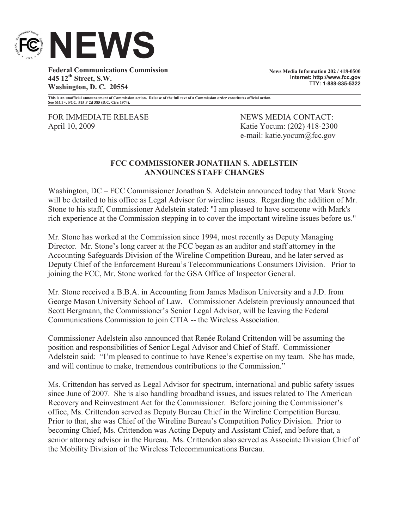

**Federal Communications Commission 445 12th Street, S.W. Washington, D. C. 20554**

**News Media Information 202 / 418-0500 Internet: http://www.fcc.gov TTY: 1-888-835-5322**

**This is an unofficial announcement of Commission action. Release of the full text of a Commission order constitutes official action. See MCI v. FCC. 515 F 2d 385 (D.C. Circ 1974).**

FOR IMMEDIATE RELEASE NEWS MEDIA CONTACT: April 10, 2009 Katie Yocum: (202) 418-2300

e-mail: katie.yocum@fcc.gov

## **FCC COMMISSIONER JONATHAN S. ADELSTEIN ANNOUNCES STAFF CHANGES**

Washington, DC – FCC Commissioner Jonathan S. Adelstein announced today that Mark Stone will be detailed to his office as Legal Advisor for wireline issues. Regarding the addition of Mr. Stone to his staff, Commissioner Adelstein stated: "I am pleased to have someone with Mark's rich experience at the Commission stepping in to cover the important wireline issues before us."

Mr. Stone has worked at the Commission since 1994, most recently as Deputy Managing Director. Mr. Stone's long career at the FCC began as an auditor and staff attorney in the Accounting Safeguards Division of the Wireline Competition Bureau, and he later served as Deputy Chief of the Enforcement Bureau's Telecommunications Consumers Division. Prior to joining the FCC, Mr. Stone worked for the GSA Office of Inspector General.

Mr. Stone received a B.B.A. in Accounting from James Madison University and a J.D. from George Mason University School of Law. Commissioner Adelstein previously announced that Scott Bergmann, the Commissioner's Senior Legal Advisor, will be leaving the Federal Communications Commission to join CTIA -- the Wireless Association.

Commissioner Adelstein also announced that Renée Roland Crittendon will be assuming the position and responsibilities of Senior Legal Advisor and Chief of Staff. Commissioner Adelstein said: "I'm pleased to continue to have Renee's expertise on my team. She has made, and will continue to make, tremendous contributions to the Commission."

Ms. Crittendon has served as Legal Advisor for spectrum, international and public safety issues since June of 2007. She is also handling broadband issues, and issues related to The American Recovery and Reinvestment Act for the Commissioner. Before joining the Commissioner's office, Ms. Crittendon served as Deputy Bureau Chief in the Wireline Competition Bureau. Prior to that, she was Chief of the Wireline Bureau's Competition Policy Division. Prior to becoming Chief, Ms. Crittendon was Acting Deputy and Assistant Chief, and before that, a senior attorney advisor in the Bureau. Ms. Crittendon also served as Associate Division Chief of the Mobility Division of the Wireless Telecommunications Bureau.